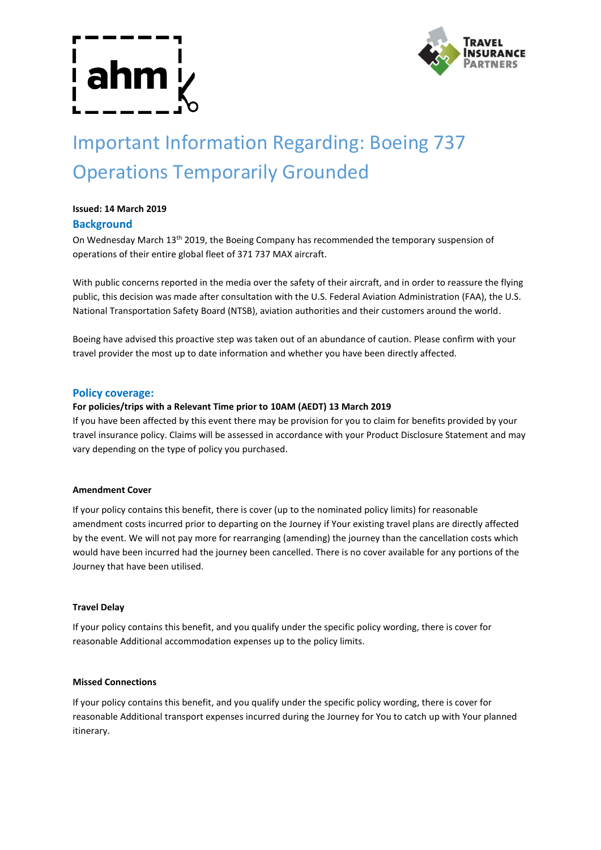

# Important Information Regarding: Boeing 737 Operations Temporarily Grounded

# **Issued: 14 March 2019**

# **Background**

On Wednesday March 13th 2019, the Boeing Company has recommended the temporary suspension of operations of their entire global fleet of 371 737 MAX aircraft.

With public concerns reported in the media over the safety of their aircraft, and in order to reassure the flying public, this decision was made after consultation with the U.S. Federal Aviation Administration (FAA), the U.S. National Transportation Safety Board (NTSB), aviation authorities and their customers around the world.

Boeing have advised this proactive step was taken out of an abundance of caution. Please confirm with your travel provider the most up to date information and whether you have been directly affected.

#### **Policy coverage:**

#### **For policies/trips with a Relevant Time prior to 10AM (AEDT) 13 March 2019**

If you have been affected by this event there may be provision for you to claim for benefits provided by your travel insurance policy. Claims will be assessed in accordance with your Product Disclosure Statement and may vary depending on the type of policy you purchased.

#### **Amendment Cover**

If your policy contains this benefit, there is cover (up to the nominated policy limits) for reasonable amendment costs incurred prior to departing on the Journey if Your existing travel plans are directly affected by the event. We will not pay more for rearranging (amending) the journey than the cancellation costs which would have been incurred had the journey been cancelled. There is no cover available for any portions of the Journey that have been utilised.

#### **Travel Delay**

If your policy contains this benefit, and you qualify under the specific policy wording, there is cover for reasonable Additional accommodation expenses up to the policy limits.

#### **Missed Connections**

If your policy contains this benefit, and you qualify under the specific policy wording, there is cover for reasonable Additional transport expenses incurred during the Journey for You to catch up with Your planned itinerary.